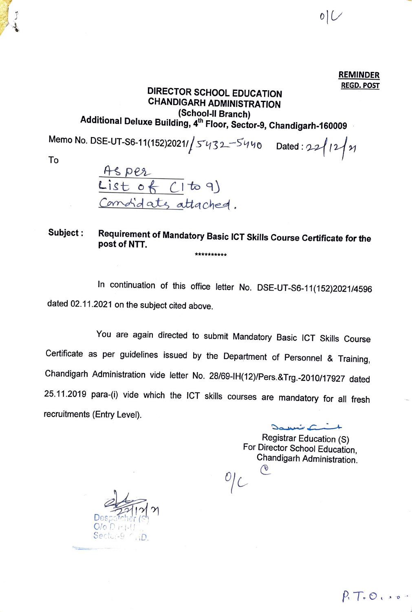**REMINDER REGO. POST** 

# **DIRECTOR SCHOOL EDUCATION CHANDIGARH ADMINISTRATION (School-II Branch) Additional Deluxe Building, 4th Floor, Sector-9, Chandigarh-160009**

Memo No. DSE-UT-S6-11(152)2021/ $/5$ '132-<sup>5'</sup>140 Dated: 22/12/21

To

<u>Asper</u><br>List of CI to 9) Comotidates attached.

**Subject : Requirement of Mandatory Basic ICT Skills Course Certificate for the post of NTT.**  \*\*\*\*\*\*\*\*\*\*

In continuation of this office letter No. DSE-UT-S6-11(152)2021/4596 dated 02.11.2021 on the subject cited above.

You are again directed to submit Mandatory Basic ICT Skills Course Certificate as per guidelines issued by the Department of Personnel & Training, Chandigarh Administration vide letter No. 28/69-IH(12)/Pers.&Trg.-2010/17927 dated 25.11.2019 para-(i) vide which the ICT skills courses are mandatory for all fresh recruitments (Entry Level).

> ~a **.1•** \_ . ,, *C* .,l.. Registrar Education (S) For Director School Education, Chandigarh Administration.  $\frac{1}{2}$

> > *p,* T .. O , ., -o

j

 $Despatcher(S)$  $O/O$   $D$   $H$  i-1 . *Sector-9 (10)*